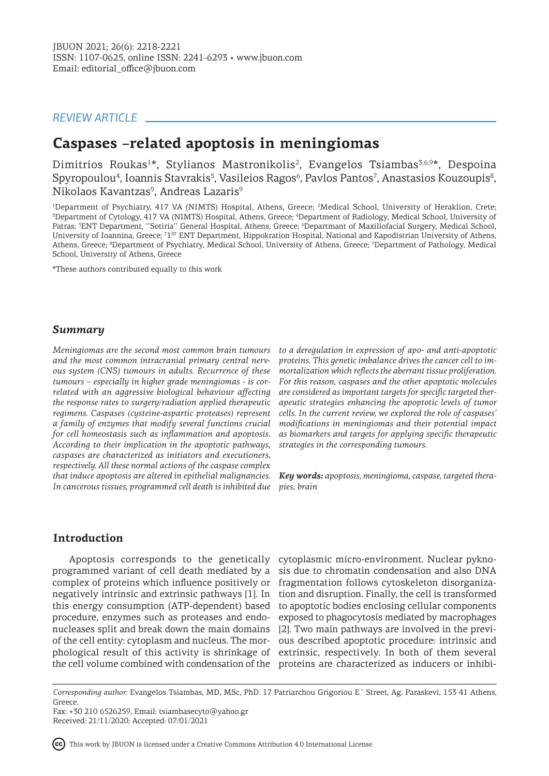# *REVIEW ARTICLE*

# **Caspases –related apoptosis in meningiomas**

Dimitrios Roukas<sup>1\*</sup>, Stylianos Mastronikolis<sup>2</sup>, Evangelos Tsiambas<sup>3,6,9\*</sup>, Despoina Spyropoulou<sup>4</sup>, Ioannis Stavrakis<sup>5</sup>, Vasileios Ragos<sup>6</sup>, Pavlos Pantos<sup>7</sup>, Anastasios Kouzoupis<sup>8</sup>, Nikolaos Kavantzas $^{\rm 9}$ , Andreas Lazaris $^{\rm 9}$ 

<sup>1</sup>Department of Psychiatry, 417 VA (NIMTS) Hospital, Athens, Greece; <sup>2</sup>Medical School, University of Heraklion, Crete; 3 Department of Cytology, 417 VA (NIMTS) Hospital, Athens, Greece; <sup>4</sup> Department of Radiology, Medical School, University of Patras; <sup>5</sup>ENT Department, ''Sotiria'' General Hospital, Athens, Greece; <sup>6</sup>Departmant of Maxillofacial Surgery, Medical School, University of Ioannina, Greece; <sup>71st</sup> ENT Department, Hippokration Hospital, National and Kapodistrian University of Athens, Athens, Greece; <sup>8</sup>Department of Psychiatry, Medical School, University of Athens, Greece; <sup>9</sup>Department of Pathology, Medical School, University of Athens, Greece

\*These authors contributed equally to this work

### *Summary*

*Meningiomas are the second most common brain tumours and the most common intracranial primary central nervous system (CNS) tumours in adults. Recurrence of these tumours – especially in higher grade meningiomas - is correlated with an aggressive biological behaviour affecting the response rates to surgery/radiation applied therapeutic regimens. Caspases (cysteine-aspartic proteases) represent a family of enzymes that modify several functions crucial for cell homeostasis such as inflammation and apoptosis. According to their implication in the apoptotic pathways, caspases are characterized as initiators and executioners, respectively. All these normal actions of the caspase complex that induce apoptosis are altered in epithelial malignancies. In cancerous tissues, programmed cell death is inhibited due* 

*to a deregulation in expression of apo- and anti-apoptotic proteins. This genetic imbalance drives the cancer cell to immortalization which reflects the aberrant tissue proliferation. For this reason, caspases and the other apoptotic molecules are considered as important targets for specific targeted therapeutic strategies enhancing the apoptotic levels of tumor cells. In the current review, we explored the role of caspases' modifications in meningiomas and their potential impact as biomarkers and targets for applying specific therapeutic strategies in the corresponding tumours.* 

*Key words: apoptosis, meningioma, caspase, targeted therapies, brain*

### **Introduction**

programmed variant of cell death mediated by a complex of proteins which influence positively or fragmentation follows cytoskeleton disorganizanegatively intrinsic and extrinsic pathways [1]. In this energy consumption (ATP-dependent) based procedure, enzymes such as proteases and endonucleases split and break down the main domains of the cell entity: cytoplasm and nucleus. The morphological result of this activity is shrinkage of extrinsic, respectively. In both of them several the cell volume combined with condensation of the proteins are characterized as inducers or inhibi-

Apoptosis corresponds to the genetically cytoplasmic micro-environment. Nuclear pyknosis due to chromatin condensation and also DNA tion and disruption. Finally, the cell is transformed to apoptotic bodies enclosing cellular components exposed to phagocytosis mediated by macrophages [2]. Two main pathways are involved in the previous described apoptotic procedure: intrinsic and

This work by JBUON is licensed under a Creative Commons Attribution 4.0 International License.

*Corresponding author:* Evangelos Tsiambas, MD, MSc, PhD. 17 Patriarchou Grigoriou E΄ Street, Ag. Paraskevi, 153 41 Athens, Greece.

Fax: +30 210 6526259, Email: tsiambasecyto@yahoo.gr Received: 21/11/2020; Accepted: 07/01/2021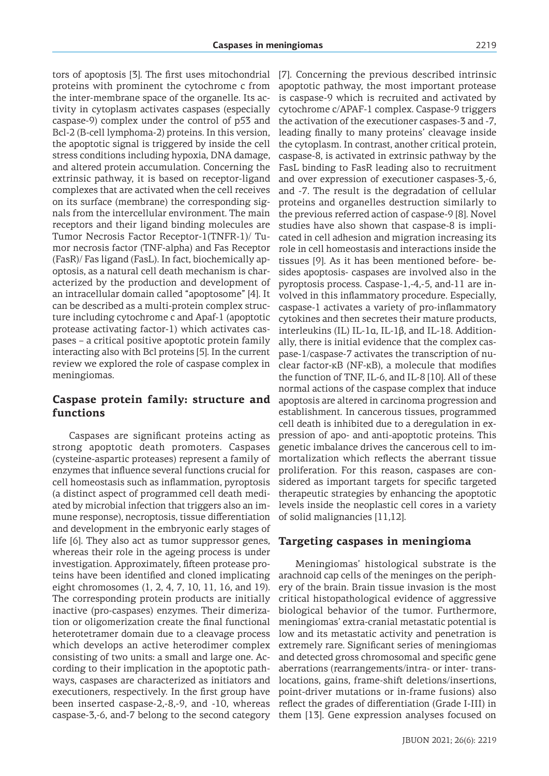tors of apoptosis [3]. The first uses mitochondrial proteins with prominent the cytochrome c from the inter-membrane space of the organelle. Its activity in cytoplasm activates caspases (especially caspase-9) complex under the control of p53 and Bcl-2 (B-cell lymphoma-2) proteins. In this version, the apoptotic signal is triggered by inside the cell stress conditions including hypoxia, DNA damage, and altered protein accumulation. Concerning the extrinsic pathway, it is based on receptor-ligand complexes that are activated when the cell receives on its surface (membrane) the corresponding signals from the intercellular environment. The main receptors and their ligand binding molecules are Tumor Necrosis Factor Receptor-1(TNFR-1)/ Tumor necrosis factor (TNF-alpha) and Fas Receptor (FasR)/ Fas ligand (FasL). In fact, biochemically apoptosis, as a natural cell death mechanism is characterized by the production and development of an intracellular domain called "apoptosome" [4]. It can be described as a multi-protein complex structure including cytochrome c and Apaf-1 (apoptotic protease activating factor-1) which activates caspases – a critical positive apoptotic protein family interacting also with Bcl proteins [5]. In the current review we explored the role of caspase complex in meningiomas.

## **Caspase protein family: structure and functions**

Caspases are significant proteins acting as strong apoptotic death promoters. Caspases (cysteine-aspartic proteases) represent a family of enzymes that influence several functions crucial for cell homeostasis such as inflammation, pyroptosis (a distinct aspect of programmed cell death mediated by microbial infection that triggers also an immune response), necroptosis, tissue differentiation and development in the embryonic early stages of life [6]. They also act as tumor suppressor genes, whereas their role in the ageing process is under investigation. Approximately, fifteen protease proteins have been identified and cloned implicating eight chromosomes (1, 2, 4, 7, 10, 11, 16, and 19). The corresponding protein products are initially inactive (pro-caspases) enzymes. Their dimerization or oligomerization create the final functional heterotetramer domain due to a cleavage process which develops an active heterodimer complex consisting of two units: a small and large one. According to their implication in the apoptotic pathways, caspases are characterized as initiators and executioners, respectively. In the first group have been inserted caspase-2,-8,-9, and -10, whereas caspase-3,-6, and-7 belong to the second category [7]. Concerning the previous described intrinsic apoptotic pathway, the most important protease is caspase-9 which is recruited and activated by cytochrome c/APAF-1 complex. Caspase-9 triggers the activation of the executioner caspases-3 and -7, leading finally to many proteins' cleavage inside the cytoplasm. In contrast, another critical protein, caspase-8, is activated in extrinsic pathway by the FasL binding to FasR leading also to recruitment and over expression of executioner caspases-3,-6, and -7. The result is the degradation of cellular proteins and organelles destruction similarly to the previous referred action of caspase-9 [8]. Novel studies have also shown that caspase-8 is implicated in cell adhesion and migration increasing its role in cell homeostasis and interactions inside the tissues [9]. As it has been mentioned before- besides apoptosis- caspases are involved also in the pyroptosis process. Caspase-1,-4,-5, and-11 are involved in this inflammatory procedure. Especially, caspase-1 activates a variety of pro-inflammatory cytokines and then secretes their mature products, interleukins (IL) IL-1α, IL-1β, and IL-18. Additionally, there is initial evidence that the complex caspase-1/caspase-7 activates the transcription of nuclear factor-κB (NF-κB), a molecule that modifies the function of TNF, IL-6, and IL-8 [10]. All of these normal actions of the caspase complex that induce apoptosis are altered in carcinoma progression and establishment. In cancerous tissues, programmed cell death is inhibited due to a deregulation in expression of apo- and anti-apoptotic proteins. This genetic imbalance drives the cancerous cell to immortalization which reflects the aberrant tissue proliferation. For this reason, caspases are considered as important targets for specific targeted therapeutic strategies by enhancing the apoptotic levels inside the neoplastic cell cores in a variety of solid malignancies [11,12].

## **Targeting caspases in meningioma**

Meningiomas' histological substrate is the arachnoid cap cells of the meninges on the periphery of the brain. Brain tissue invasion is the most critical histopathological evidence of aggressive biological behavior of the tumor. Furthermore, meningiomas' extra-cranial metastatic potential is low and its metastatic activity and penetration is extremely rare. Significant series of meningiomas and detected gross chromosomal and specific gene aberrations (rearrangements/intra- or inter- translocations, gains, frame-shift deletions/insertions, point-driver mutations or in-frame fusions) also reflect the grades of differentiation (Grade I-III) in them [13]. Gene expression analyses focused on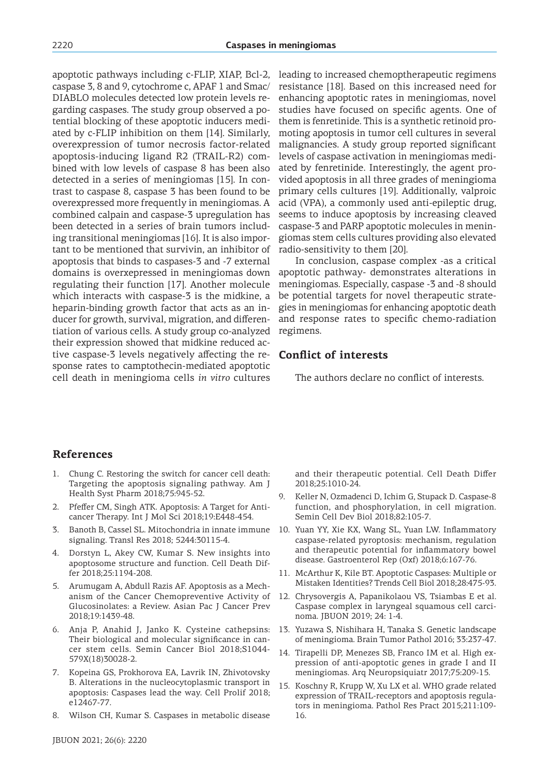apoptotic pathways including c-FLIP, XIAP, Bcl-2, caspase 3, 8 and 9, cytochrome c, APAF 1 and Smac/ DIABLO molecules detected low protein levels regarding caspases. The study group observed a potential blocking of these apoptotic inducers mediated by c-FLIP inhibition on them [14]. Similarly, overexpression of tumor necrosis factor-related apoptosis-inducing ligand R2 (TRAIL-R2) combined with low levels of caspase 8 has been also detected in a series of meningiomas [15]. In contrast to caspase 8, caspase 3 has been found to be overexpressed more frequently in meningiomas. A combined calpain and caspase-3 upregulation has been detected in a series of brain tumors including transitional meningiomas [16]. It is also important to be mentioned that survivin, an inhibitor of apoptosis that binds to caspases-3 and -7 external domains is overxepressed in meningiomas down regulating their function [17]. Another molecule which interacts with caspase-3 is the midkine, a heparin-binding growth factor that acts as an inducer for growth, survival, migration, and differentiation of various cells. A study group co-analyzed their expression showed that midkine reduced active caspase-3 levels negatively affecting the response rates to camptothecin-mediated apoptotic cell death in meningioma cells *in vitro* cultures

leading to increased chemoptherapeutic regimens resistance [18]. Based on this increased need for enhancing apoptotic rates in meningiomas, novel studies have focused on specific agents. One of them is fenretinide. This is a synthetic retinoid promoting apoptosis in tumor cell cultures in several malignancies. A study group reported significant levels of caspase activation in meningiomas mediated by fenretinide. Interestingly, the agent provided apoptosis in all three grades of meningioma primary cells cultures [19]. Additionally, valproic acid (VPA), a commonly used anti-epileptic drug, seems to induce apoptosis by increasing cleaved caspase-3 and PARP apoptotic molecules in meningiomas stem cells cultures providing also elevated radio-sensitivity to them [20].

In conclusion, caspase complex -as a critical apoptotic pathway- demonstrates alterations in meningiomas. Especially, caspase -3 and -8 should be potential targets for novel therapeutic strategies in meningiomas for enhancing apoptotic death and response rates to specific chemo-radiation regimens.

### **Conflict of interests**

The authors declare no conflict of interests.

## **References**

- 1. Chung C. Restoring the switch for cancer cell death: Targeting the apoptosis signaling pathway. Am J Health Syst Pharm 2018;75:945-52.
- 2. Pfeffer CM, Singh ATK. Apoptosis: A Target for Anticancer Therapy. Int J Mol Sci 2018;19:E448-454.
- 3. Banoth B, Cassel SL. Mitochondria in innate immune signaling. Transl Res 2018; 5244:30115-4.
- 4. Dorstyn L, Akey CW, Kumar S. New insights into apoptosome structure and function. Cell Death Differ 2018;25:1194-208.
- 5. Arumugam A, Abdull Razis AF. Apoptosis as a Mechanism of the Cancer Chemopreventive Activity of Glucosinolates: a Review. Asian Pac J Cancer Prev 2018;19:1439-48.
- 6. Anja P, Anahid J, Janko K. Cysteine cathepsins: Their biological and molecular significance in cancer stem cells. Semin Cancer Biol 2018;S1044- 579X(18)30028-2.
- 7. Kopeina GS, Prokhorova EA, Lavrik IN, Zhivotovsky B. Alterations in the nucleocytoplasmic transport in apoptosis: Caspases lead the way. Cell Prolif 2018; e12467-77.
- 8. Wilson CH, Kumar S. Caspases in metabolic disease

and their therapeutic potential. Cell Death Differ 2018;25:1010-24.

- 9. Keller N, Ozmadenci D, Ichim G, Stupack D. Caspase-8 function, and phosphorylation, in cell migration. Semin Cell Dev Biol 2018;82:105-7.
- 10. Yuan YY, Xie KX, Wang SL, Yuan LW. Inflammatory caspase-related pyroptosis: mechanism, regulation and therapeutic potential for inflammatory bowel disease. Gastroenterol Rep (Oxf) 2018;6:167-76.
- 11. McArthur K, Kile BT. Apoptotic Caspases: Multiple or Mistaken Identities? Trends Cell Biol 2018;28:475-93.
- 12. Chrysovergis A, Papanikolaou VS, Tsiambas E et al. Caspase complex in laryngeal squamous cell carcinoma. JBUON 2019; 24: 1-4.
- 13. Yuzawa S, Nishihara H, Tanaka S. Genetic landscape of meningioma. Brain Tumor Pathol 2016; 33:237-47.
- 14. Tirapelli DP, Menezes SB, Franco IM et al. High expression of anti-apoptotic genes in grade I and II meningiomas. Arq Neuropsiquiatr 2017;75:209-15.
- 15. Koschny R, Krupp W, Xu LX et al. WHO grade related expression of TRAIL-receptors and apoptosis regulators in meningioma. Pathol Res Pract 2015;211:109- 16.